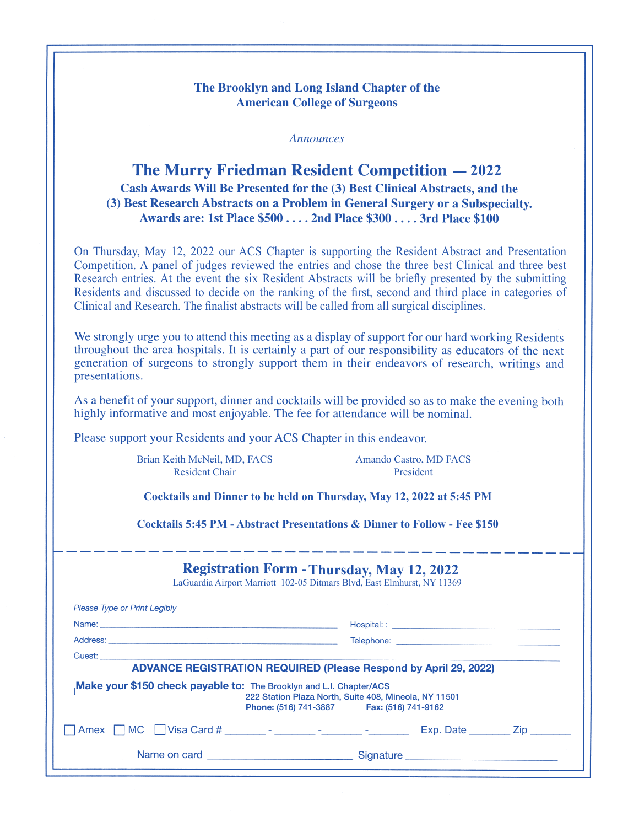**The Brooklyn and Long Island Chapter of the American College of Surgeons**

*Announces*

### **The Murry Friedman Resident Competition – 2022** Cash Awards Will Be Presented for the (3) Best Clinical Abstracts, and the (3) Best Research Abstracts on a Problem in General Surgery or a Subspecialty. Awards are: 1st Place \$500 . . . . 2nd Place \$300 . . . . 3rd Place \$100

On Thursday, May 12, 2022 our ACS Chapter is supporting the Resident Abstract and Presentation Competition. A panel of judges reviewed the entries and chose the three best Clinical and three best Research entries. At the event the six Resident Abstracts will be briefly presented by the submitting Residents and discussed to decide on the ranking of the first, second and third place in categories of Clinical and Research. The finalist abstracts will be called from all surgical disciplines.

We strongly urge you to attend this meeting as a display of support for our hard working Residents throughout the area hospitals. It is certainly a part of our responsibility as educators of the next generation of surgeons to strongly support them in their endeavors of research, writings and presentations.

As a benefit of your support, dinner and cocktails will be provided so as to make the evening both highly informative and most enjoyable. The fee for attendance will be nominal.

Please support your Residents and your ACS Chapter in this endeavor.

Brian Keith McNeil, MD, FACS Resident Chair

Amando Castro, MD FACS President

**Cocktails and Dinner to be held on Thursday, May 12, 2022 at 5:45 PM**

**Cocktails 5:45 PM - Abstract Presentations & Dinner to Follow - Fee \$150**

## **Thursday, May 12, 2022**

LaGuardia Airport Marriott 102-05 Ditmars Blvd, East Elmhurst, NY 11369

| Please Type or Print Legibly                                        |                                           |                                                                                                                                  |  |
|---------------------------------------------------------------------|-------------------------------------------|----------------------------------------------------------------------------------------------------------------------------------|--|
|                                                                     |                                           |                                                                                                                                  |  |
|                                                                     |                                           |                                                                                                                                  |  |
| Make your \$150 check payable to: The Brooklyn and L.I. Chapter/ACS | Phone: (516) 741-3887 Fax: (516) 741-9162 | <b>ADVANCE REGISTRATION REQUIRED (Please Respond by April 29, 2022)</b><br>222 Station Plaza North, Suite 408, Mineola, NY 11501 |  |
|                                                                     |                                           | Exp. Date Zip                                                                                                                    |  |
|                                                                     |                                           |                                                                                                                                  |  |